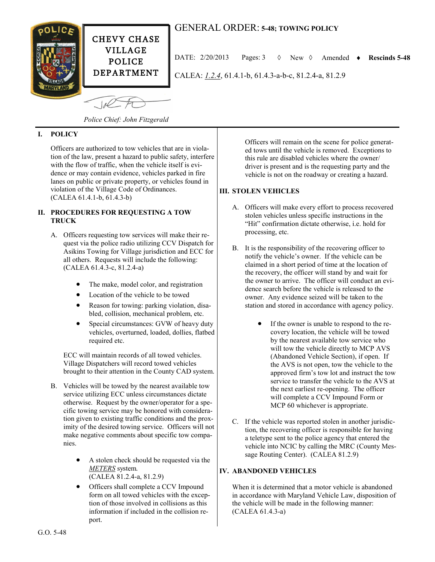

 $-10<sup>o</sup>$ 

# GENERAL ORDER: **5-48; TOWING POLICY**

DATE:  $2/20/2013$  Pages:  $3 \quad \lozenge$  New  $\lozenge$  Amended  $\triangleright$  Rescinds 5-48

CALEA: *1.2.4*, 61.4.1-b, 61.4.3-a-b-c, 81.2.4-a, 81.2.9

**I. POLICY**

Officers are authorized to tow vehicles that are in violation of the law, present a hazard to public safety, interfere with the flow of traffic, when the vehicle itself is evidence or may contain evidence, vehicles parked in fire lanes on public or private property, or vehicles found in violation of the Village Code of Ordinances. (CALEA 61.4.1-b, 61.4.3-b)

*Police Chief: John Fitzgerald*

#### **II. PROCEDURES FOR REQUESTING A TOW TRUCK**

- A. Officers requesting tow services will make their request via the police radio utilizing CCV Dispatch for Asikins Towing for Village jurisdiction and ECC for all others. Requests will include the following: (CALEA 61.4.3-c, 81.2.4-a)
	- The make, model color, and registration
	- Location of the vehicle to be towed
	- Reason for towing: parking violation, disabled, collision, mechanical problem, etc.
	- Special circumstances: GVW of heavy duty vehicles, overturned, loaded, dollies, flatbed required etc.

ECC will maintain records of all towed vehicles. Village Dispatchers will record towed vehicles brought to their attention in the County CAD system.

- B. Vehicles will be towed by the nearest available tow service utilizing ECC unless circumstances dictate otherwise. Request by the owner/operator for a specific towing service may be honored with consideration given to existing traffic conditions and the proximity of the desired towing service. Officers will not make negative comments about specific tow companies.
	- A stolen check should be requested via the *METERS* system. (CALEA 81.2.4-a, 81.2.9)
	- Officers shall complete a CCV Impound form on all towed vehicles with the exception of those involved in collisions as this information if included in the collision report.

Officers will remain on the scene for police generated tows until the vehicle is removed. Exceptions to this rule are disabled vehicles where the owner/ driver is present and is the requesting party and the vehicle is not on the roadway or creating a hazard.

## **III. STOLEN VEHICLES**

- A. Officers will make every effort to process recovered stolen vehicles unless specific instructions in the "Hit" confirmation dictate otherwise, i.e. hold for processing, etc.
- B. It is the responsibility of the recovering officer to notify the vehicle's owner. If the vehicle can be claimed in a short period of time at the location of the recovery, the officer will stand by and wait for the owner to arrive. The officer will conduct an evidence search before the vehicle is released to the owner. Any evidence seized will be taken to the station and stored in accordance with agency policy.
	- If the owner is unable to respond to the recovery location, the vehicle will be towed by the nearest available tow service who will tow the vehicle directly to MCP AVS (Abandoned Vehicle Section), if open. If the AVS is not open, tow the vehicle to the approved firm's tow lot and instruct the tow service to transfer the vehicle to the AVS at the next earliest re-opening. The officer will complete a CCV Impound Form or MCP 60 whichever is appropriate.
- C. If the vehicle was reported stolen in another jurisdiction, the recovering officer is responsible for having a teletype sent to the police agency that entered the vehicle into NCIC by calling the MRC (County Message Routing Center). (CALEA 81.2.9)

## **IV. ABANDONED VEHICLES**

When it is determined that a motor vehicle is abandoned in accordance with Maryland Vehicle Law, disposition of the vehicle will be made in the following manner: (CALEA 61.4.3-a)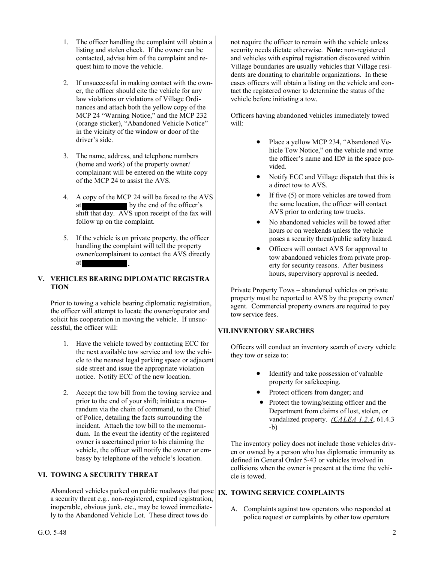- 1. The officer handling the complaint will obtain a listing and stolen check. If the owner can be contacted, advise him of the complaint and request him to move the vehicle.
- 2. If unsuccessful in making contact with the owner, the officer should cite the vehicle for any law violations or violations of Village Ordinances and attach both the yellow copy of the MCP 24 "Warning Notice," and the MCP 232 (orange sticker), "Abandoned Vehicle Notice" in the vicinity of the window or door of the driver's side.
- 3. The name, address, and telephone numbers (home and work) of the property owner/ complainant will be entered on the white copy of the MCP 24 to assist the AVS.
- 4. A copy of the MCP 24 will be faxed to the AVS at by the end of the officer's shift that day. AVS upon receipt of the fax will follow up on the complaint.
- 5. If the vehicle is on private property, the officer handling the complaint will tell the property owner/complainant to contact the AVS directly at

## **V. VEHICLES BEARING DIPLOMATIC REGISTRA TION**

Prior to towing a vehicle bearing diplomatic registration, the officer will attempt to locate the owner/operator and solicit his cooperation in moving the vehicle. If unsuccessful, the officer will:

- 1. Have the vehicle towed by contacting ECC for the next available tow service and tow the vehicle to the nearest legal parking space or adjacent side street and issue the appropriate violation notice. Notify ECC of the new location.
- 2. Accept the tow bill from the towing service and prior to the end of your shift; initiate a memorandum via the chain of command, to the Chief of Police, detailing the facts surrounding the incident. Attach the tow bill to the memorandum. In the event the identity of the registered owner is ascertained prior to his claiming the vehicle, the officer will notify the owner or embassy by telephone of the vehicle's location.

## **VI. TOWING A SECURITY THREAT**

Abandoned vehicles parked on public roadways that pose **IX. TOWING SERVICE COMPLAINTS** a security threat e.g., non-registered, expired registration, inoperable, obvious junk, etc., may be towed immediately to the Abandoned Vehicle Lot. These direct tows do

not require the officer to remain with the vehicle unless security needs dictate otherwise. **Note:** non-registered and vehicles with expired registration discovered within Village boundaries are usually vehicles that Village residents are donating to charitable organizations. In these cases officers will obtain a listing on the vehicle and contact the registered owner to determine the status of the vehicle before initiating a tow.

Officers having abandoned vehicles immediately towed will:

- Place a yellow MCP 234, "Abandoned Vehicle Tow Notice," on the vehicle and write the officer's name and ID# in the space provided.
- Notify ECC and Village dispatch that this is a direct tow to AVS.
- If five (5) or more vehicles are towed from the same location, the officer will contact AVS prior to ordering tow trucks.
- No abandoned vehicles will be towed after hours or on weekends unless the vehicle poses a security threat/public safety hazard.
- Officers will contact AVS for approval to tow abandoned vehicles from private property for security reasons. After business hours, supervisory approval is needed.

Private Property Tows – abandoned vehicles on private property must be reported to AVS by the property owner/ agent. Commercial property owners are required to pay tow service fees.

## **VII.INVENTORY SEARCHES**

Officers will conduct an inventory search of every vehicle they tow or seize to:

- Identify and take possession of valuable property for safekeeping.
- Protect officers from danger; and
- Protect the towing/seizing officer and the Department from claims of lost, stolen, or vandalized property. *(CALEA 1.2.4*, 61.4.3  $-h$ )

The inventory policy does not include those vehicles driven or owned by a person who has diplomatic immunity as defined in General Order 5-43 or vehicles involved in collisions when the owner is present at the time the vehicle is towed.

A. Complaints against tow operators who responded at police request or complaints by other tow operators